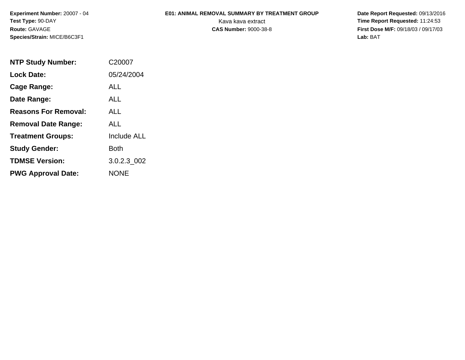**Experiment Number:** 20007 - 04**Test Type:** 90-DAY**Route:** GAVAGE**Species/Strain:** MICE/B6C3F1

## **E01: ANIMAL REMOVAL SUMMARY BY TREATMENT GROUP**

 **Date Report Requested:** 09/13/2016 Kava kava extract **Time Report Requested:** 11:24:53<br>**CAS Number:** 9000-38-8 **Time Report Requested:** 11:24:53 **First Dose M/F:** 09/18/03 / 09/17/03<br>Lab: BAT **Lab:** BAT

| <b>NTP Study Number:</b>    | C20007             |
|-----------------------------|--------------------|
| <b>Lock Date:</b>           | 05/24/2004         |
| Cage Range:                 | ALL                |
| Date Range:                 | AI I               |
| <b>Reasons For Removal:</b> | ALL                |
| <b>Removal Date Range:</b>  | ALL                |
| <b>Treatment Groups:</b>    | <b>Include ALL</b> |
| <b>Study Gender:</b>        | Both               |
| <b>TDMSE Version:</b>       | 3.0.2.3 002        |
| <b>PWG Approval Date:</b>   | <b>NONE</b>        |